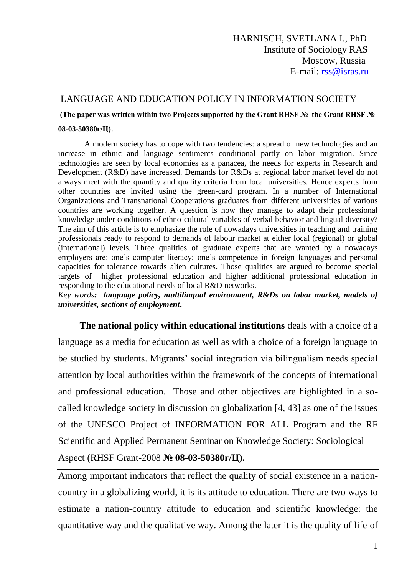#### LANGUAGE AND EDUCATION POLICY IN INFORMATION SOCIETY

**(The paper was written within two Projects supported by the Grant RHSF № the Grant RHSF № 08-03-50380г/Ц)**.

#### A modern society has to cope with two tendencies: a spread of new technologies and an increase in ethnic and language sentiments conditional partly on labor migration. Since technologies are seen by local economies as a panacea, the needs for experts in Research and Development (R&D) have increased. Demands for R&Ds at regional labor market level do not always meet with the quantity and quality criteria from local universities. Hence experts from other countries are invited using the green-card program. In a number of International Organizations and Transnational Cooperations graduates from different universities of various countries are working together. A question is how they manage to adapt their professional knowledge under conditions of ethno-cultural variables of verbal behavior and lingual diversity? The aim of this article is to emphasize the role of nowadays universities in teaching and training professionals ready to respond to demands of labour market at either local (regional) or global (international) levels. Three qualities of graduate experts that are wanted by a nowadays employers are: one's computer literacy; one's competence in foreign languages and personal capacities for tolerance towards alien cultures. Those qualities are argued to become special targets of higher professional education and higher additional professional education in responding to the educational needs of local R&D networks.

*Key words: language policy, multilingual environment, R&Ds on labor market, models of universities, sections of employment***.**

 **The national policy within educational institutions** deals with a choice of a language as a media for education as well as with a choice of a foreign language to be studied by students. Migrants' social integration via bilingualism needs special attention by local authorities within the framework of the concepts of international and professional education. Those and other objectives are highlighted in a socalled knowledge society in discussion on globalization [4, 43] as one of the issues of the UNESCO Project of INFORMATION FOR ALL Program and the RF Scientific and Applied Permanent Seminar on Knowledge Society: Sociological Aspect (RHSF Grant-2008 **№ 08-03-50380г/Ц).**

Among important indicators that reflect the quality of social existence in a nationcountry in a globalizing world, it is its attitude to education. There are two ways to estimate a nation-country attitude to education and scientific knowledge: the quantitative way and the qualitative way. Among the later it is the quality of life of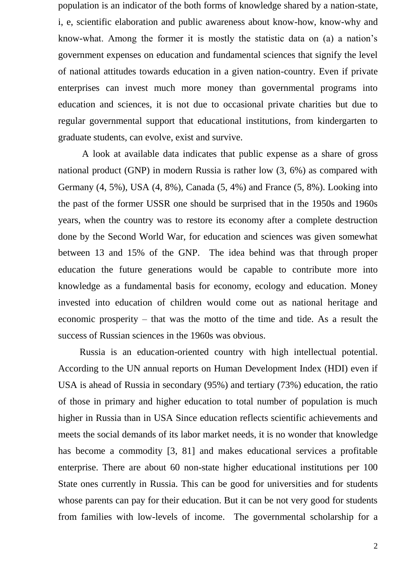population is an indicator of the both forms of knowledge shared by a nation-state, i, e, scientific elaboration and public awareness about know-how, know-why and know-what. Among the former it is mostly the statistic data on (a) a nation's government expenses on education and fundamental sciences that signify the level of national attitudes towards education in a given nation-country. Even if private enterprises can invest much more money than governmental programs into education and sciences, it is not due to occasional private charities but due to regular governmental support that educational institutions, from kindergarten to graduate students, can evolve, exist and survive.

 A look at available data indicates that public expense as a share of gross national product (GNP) in modern Russia is rather low (3, 6%) as compared with Germany (4, 5%), USA (4, 8%), Canada (5, 4%) and France (5, 8%). Looking into the past of the former USSR one should be surprised that in the 1950s and 1960s years, when the country was to restore its economy after a complete destruction done by the Second World War, for education and sciences was given somewhat between 13 and 15% of the GNP. The idea behind was that through proper education the future generations would be capable to contribute more into knowledge as a fundamental basis for economy, ecology and education. Money invested into education of children would come out as national heritage and economic prosperity – that was the motto of the time and tide. As a result the success of Russian sciences in the 1960s was obvious.

 Russia is an education-oriented country with high intellectual potential. According to the UN annual reports on Human Development Index (HDI) even if USA is ahead of Russia in secondary (95%) and tertiary (73%) education, the ratio of those in primary and higher education to total number of population is much higher in Russia than in USA Since education reflects scientific achievements and meets the social demands of its labor market needs, it is no wonder that knowledge has become a commodity [3, 81] and makes educational services a profitable enterprise. There are about 60 non-state higher educational institutions per 100 State ones currently in Russia. This can be good for universities and for students whose parents can pay for their education. But it can be not very good for students from families with low-levels of income. The governmental scholarship for a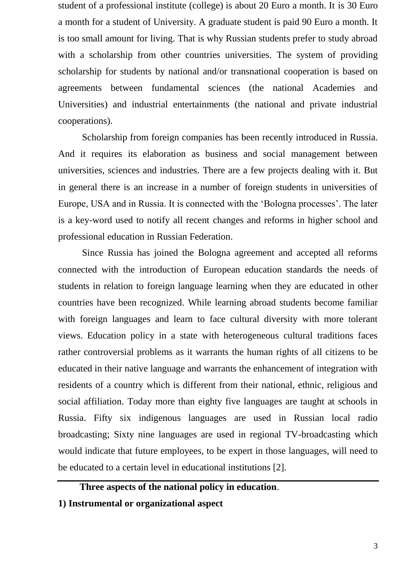student of a professional institute (college) is about 20 Euro a month. It is 30 Euro a month for a student of University. A graduate student is paid 90 Euro a month. It is too small amount for living. That is why Russian students prefer to study abroad with a scholarship from other countries universities. The system of providing scholarship for students by national and/or transnational cooperation is based on agreements between fundamental sciences (the national Academies and Universities) and industrial entertainments (the national and private industrial cooperations).

 Scholarship from foreign companies has been recently introduced in Russia. And it requires its elaboration as business and social management between universities, sciences and industries. There are a few projects dealing with it. But in general there is an increase in a number of foreign students in universities of Europe, USA and in Russia. It is connected with the 'Bologna processes'. The later is a key-word used to notify all recent changes and reforms in higher school and professional education in Russian Federation.

 Since Russia has joined the Bologna agreement and accepted all reforms connected with the introduction of European education standards the needs of students in relation to foreign language learning when they are educated in other countries have been recognized. While learning abroad students become familiar with foreign languages and learn to face cultural diversity with more tolerant views. Education policy in a state with heterogeneous cultural traditions faces rather controversial problems as it warrants the human rights of all citizens to be educated in their native language and warrants the enhancement of integration with residents of a country which is different from their national, ethnic, religious and social affiliation. Today more than eighty five languages are taught at schools in Russia. Fifty six indigenous languages are used in Russian local radio broadcasting; Sixty nine languages are used in regional TV-broadcasting which would indicate that future employees, to be expert in those languages, will need to be educated to a certain level in educational institutions [2].

# **Three aspects of the national policy in education**.

**1) Instrumental or organizational aspect**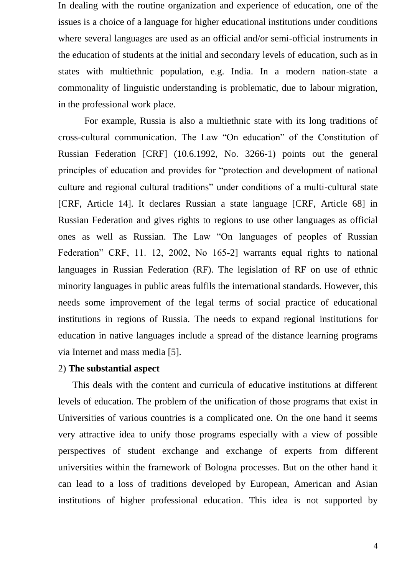In dealing with the routine organization and experience of education, one of the issues is a choice of a language for higher educational institutions under conditions where several languages are used as an official and/or semi-official instruments in the education of students at the initial and secondary levels of education, such as in states with multiethnic population, e.g. India. In a modern nation-state a commonality of linguistic understanding is problematic, due to labour migration, in the professional work place.

 For example, Russia is also a multiethnic state with its long traditions of cross-cultural communication. The Law "On education" of the Constitution of Russian Federation [CRF] (10.6.1992, No. 3266-1) points out the general principles of education and provides for "protection and development of national culture and regional cultural traditions" under conditions of a multi-cultural state [CRF, Article 14]. It declares Russian a state language [CRF, Article 68] in Russian Federation and gives rights to regions to use other languages as official ones as well as Russian. The Law "On languages of peoples of Russian Federation" CRF, 11. 12, 2002, No 165-2] warrants equal rights to national languages in Russian Federation (RF). The legislation of RF on use of ethnic minority languages in public areas fulfils the international standards. However, this needs some improvement of the legal terms of social practice of educational institutions in regions of Russia. The needs to expand regional institutions for education in native languages include a spread of the distance learning programs via Internet and mass media [5].

## 2) **The substantial aspect**

 This deals with the content and curricula of educative institutions at different levels of education. The problem of the unification of those programs that exist in Universities of various countries is a complicated one. On the one hand it seems very attractive idea to unify those programs especially with a view of possible perspectives of student exchange and exchange of experts from different universities within the framework of Bologna processes. But on the other hand it can lead to a loss of traditions developed by European, American and Asian institutions of higher professional education. This idea is not supported by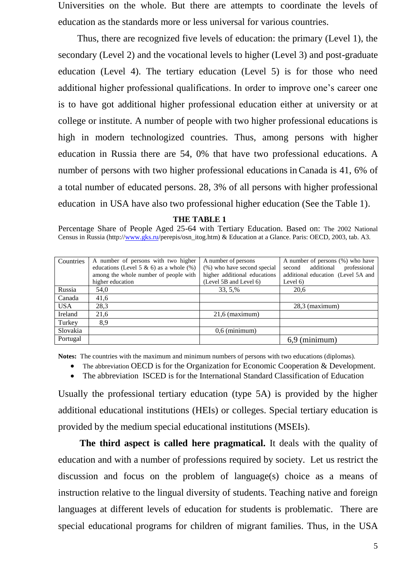Universities on the whole. But there are attempts to coordinate the levels of education as the standards more or less universal for various countries.

 Thus, there are recognized five levels of education: the primary (Level 1), the secondary (Level 2) and the vocational levels to higher (Level 3) and post-graduate education (Level 4). The tertiary education (Level 5) is for those who need additional higher professional qualifications. In order to improve one's career one is to have got additional higher professional education either at university or at college or institute. A number of people with two higher professional educations is high in modern technologized countries. Thus, among persons with higher education in Russia there are 54, 0% that have two professional educations. A number of persons with two higher professional educations in Canada is 41, 6% of a total number of educated persons. 28, 3% of all persons with higher professional education in USA have also two professional higher education (See the Table 1).

 **THE TABLE 1**

Percentage Share of People Aged 25-64 with Tertiary Education. Based on: The 2002 National Census in Russia (http:/[/www.gks.ru/](http://www.gks.ru/)perepis/osn\_itog.htm) & Education at a Glance. Paris: OECD, 2003, tab. A3.

| <b>Countries</b> | A number of persons with two higher        | A number of persons          | A number of persons (%) who have     |
|------------------|--------------------------------------------|------------------------------|--------------------------------------|
|                  | educations (Level 5 & 6) as a whole $(\%)$ | (%) who have second special  | additional<br>professional<br>second |
|                  | among the whole number of people with      | higher additional educations | additional education (Level 5A and   |
|                  | higher education                           | (Level 5B and Level 6)       | Level $6)$                           |
| Russia           | 54,0                                       | 33, 5,%                      | 20,6                                 |
| Canada           | 41,6                                       |                              |                                      |
| <b>USA</b>       | 28,3                                       |                              | $28.3$ (maximum)                     |
| Ireland          | 21,6                                       | $21.6$ (maximum)             |                                      |
| Turkey           | 8,9                                        |                              |                                      |
| Slovakia         |                                            | $0.6$ (minimum)              |                                      |
| Portugal         |                                            |                              | (minimum)                            |

**Notes:** The countries with the maximum and minimum numbers of persons with two educations (diplomas).

• The abbreviation OECD is for the Organization for Economic Cooperation & Development.

The abbreviation ISCED is for the International Standard Classification of Education

Usually the professional tertiary education (type 5A) is provided by the higher additional educational institutions (HEIs) or colleges. Special tertiary education is provided by the medium special educational institutions (MSEIs).

 **The third aspect is called here pragmatical.** It deals with the quality of education and with a number of professions required by society. Let us restrict the discussion and focus on the problem of language(s) choice as a means of instruction relative to the lingual diversity of students. Teaching native and foreign languages at different levels of education for students is problematic. There are special educational programs for children of migrant families. Thus, in the USA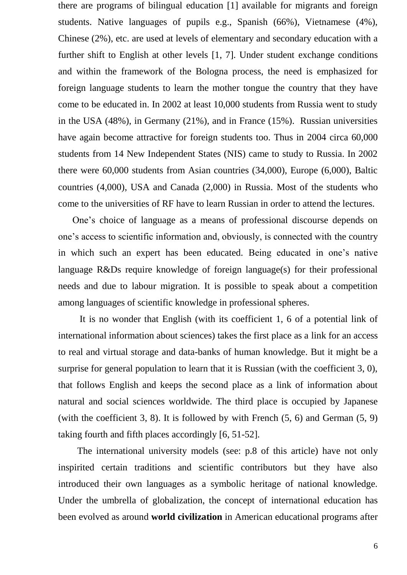there are programs of bilingual education [1] available for migrants and foreign students. Native languages of pupils e.g., Spanish (66%), Vietnamese (4%), Chinese (2%), etc. are used at levels of elementary and secondary education with a further shift to English at other levels [1, 7]. Under student exchange conditions and within the framework of the Bologna process, the need is emphasized for foreign language students to learn the mother tongue the country that they have come to be educated in. In 2002 at least 10,000 students from Russia went to study in the USA (48%), in Germany (21%), and in France (15%). Russian universities have again become attractive for foreign students too. Thus in 2004 circa 60,000 students from 14 New Independent States (NIS) came to study to Russia. In 2002 there were 60,000 students from Asian countries (34,000), Europe (6,000), Baltic countries (4,000), USA and Canada (2,000) in Russia. Most of the students who come to the universities of RF have to learn Russian in order to attend the lectures.

 One's choice of language as a means of professional discourse depends on one's access to scientific information and, obviously, is connected with the country in which such an expert has been educated. Being educated in one's native language R&Ds require knowledge of foreign language(s) for their professional needs and due to labour migration. It is possible to speak about a competition among languages of scientific knowledge in professional spheres.

 It is no wonder that English (with its coefficient 1, 6 of a potential link of international information about sciences) takes the first place as a link for an access to real and virtual storage and data-banks of human knowledge. But it might be a surprise for general population to learn that it is Russian (with the coefficient 3, 0), that follows English and keeps the second place as a link of information about natural and social sciences worldwide. The third place is occupied by Japanese (with the coefficient 3, 8). It is followed by with French  $(5, 6)$  and German  $(5, 9)$ taking fourth and fifth places accordingly [6, 51-52].

 The international university models (see: p.8 of this article) have not only inspirited certain traditions and scientific contributors but they have also introduced their own languages as a symbolic heritage of national knowledge. Under the umbrella of globalization, the concept of international education has been evolved as around **world civilization** in American educational programs after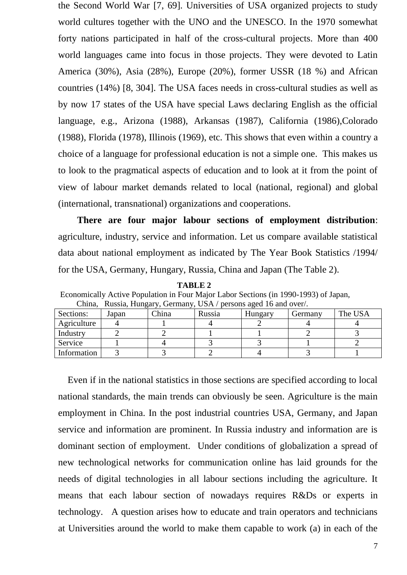the Second World War [7, 69]. Universities of USA organized projects to study world cultures together with the UNO and the UNESCO. In the 1970 somewhat forty nations participated in half of the cross-cultural projects. More than 400 world languages came into focus in those projects. They were devoted to Latin America (30%), Asia (28%), Europe (20%), former USSR (18 %) and African countries (14%) [8, 304]. The USA faces needs in cross-cultural studies as well as by now 17 states of the USA have special Laws declaring English as the official language, e.g., Arizona (1988), Arkansas (1987), California (1986),Colorado (1988), Florida (1978), Illinois (1969), etc. This shows that even within a country a choice of a language for professional education is not a simple one. This makes us to look to the pragmatical aspects of education and to look at it from the point of view of labour market demands related to local (national, regional) and global (international, transnational) organizations and cooperations.

 **There are four major labour sections of employment distribution**: agriculture, industry, service and information. Let us compare available statistical data about national employment as indicated by The Year Book Statistics /1994/ for the USA, Germany, Hungary, Russia, China and Japan (The Table 2).

 **TABLE 2** Economically Active Population in Four Major Labor Sections (in 1990-1993) of Japan, China, Russia, Hungary, Germany, USA / persons aged 16 and over/.

| uman<br>$R_{\rm H}$ and $R_{\rm H}$ and $R_{\rm H}$ are $R_{\rm H}$ and $R_{\rm H}$ and $R_{\rm H}$ and $R_{\rm H}$ and $R_{\rm H}$ and $R_{\rm H}$ and $R_{\rm H}$ and $R_{\rm H}$ and $R_{\rm H}$ and $R_{\rm H}$ and $R_{\rm H}$ and $R_{\rm H}$ and $R_{\rm H}$ and $R_{\rm H}$ and |       |       |        |         |         |         |  |  |
|-----------------------------------------------------------------------------------------------------------------------------------------------------------------------------------------------------------------------------------------------------------------------------------------|-------|-------|--------|---------|---------|---------|--|--|
| Sections:                                                                                                                                                                                                                                                                               | Japan | China | Russia | Hungary | Germany | The USA |  |  |
| Agriculture                                                                                                                                                                                                                                                                             |       |       |        |         |         |         |  |  |
| Industry                                                                                                                                                                                                                                                                                |       |       |        |         |         |         |  |  |
| Service                                                                                                                                                                                                                                                                                 |       |       |        |         |         |         |  |  |
| Information                                                                                                                                                                                                                                                                             |       |       |        |         |         |         |  |  |

 Even if in the national statistics in those sections are specified according to local national standards, the main trends can obviously be seen. Agriculture is the main employment in China. In the post industrial countries USA, Germany, and Japan service and information are prominent. In Russia industry and information are is dominant section of employment. Under conditions of globalization a spread of new technological networks for communication online has laid grounds for the needs of digital technologies in all labour sections including the agriculture. It means that each labour section of nowadays requires R&Ds or experts in technology. A question arises how to educate and train operators and technicians at Universities around the world to make them capable to work (a) in each of the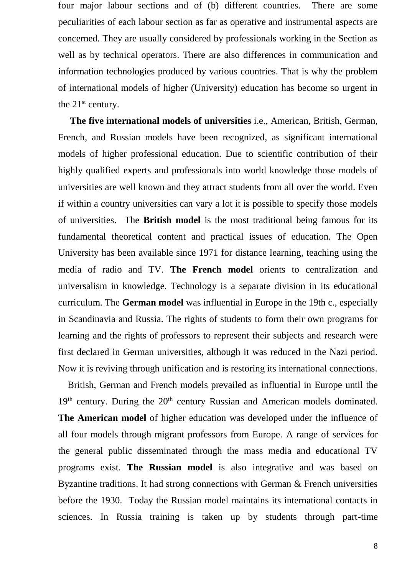four major labour sections and of (b) different countries. There are some peculiarities of each labour section as far as operative and instrumental aspects are concerned. They are usually considered by professionals working in the Section as well as by technical operators. There are also differences in communication and information technologies produced by various countries. That is why the problem of international models of higher (University) education has become so urgent in the 21<sup>st</sup> century.

 **The five international models of universities** i.e., American, British, German, French, and Russian models have been recognized, as significant international models of higher professional education. Due to scientific contribution of their highly qualified experts and professionals into world knowledge those models of universities are well known and they attract students from all over the world. Even if within a country universities can vary a lot it is possible to specify those models of universities.The **British model** is the most traditional being famous for its fundamental theoretical content and practical issues of education. The Open University has been available since 1971 for distance learning, teaching using the media of radio and TV. **The French model** orients to centralization and universalism in knowledge. Technology is a separate division in its educational curriculum. The **German model** was influential in Europe in the 19th c., especially in Scandinavia and Russia. The rights of students to form their own programs for learning and the rights of professors to represent their subjects and research were first declared in German universities, although it was reduced in the Nazi period. Now it is reviving through unification and is restoring its international connections.

 British, German and French models prevailed as influential in Europe until the  $19<sup>th</sup>$  century. During the  $20<sup>th</sup>$  century Russian and American models dominated. **The American model** of higher education was developed under the influence of all four models through migrant professors from Europe*.* A range of services for the general public disseminated through the mass media and educational TV programs exist. **The Russian model** is also integrative and was based on Byzantine traditions. It had strong connections with German & French universities before the 1930. Today the Russian model maintains its international contacts in sciences. In Russia training is taken up by students through part-time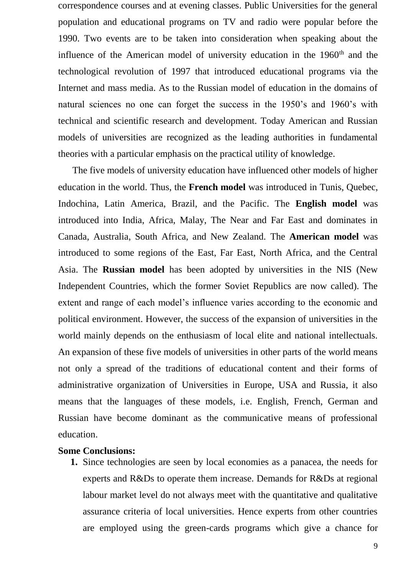correspondence courses and at evening classes. Public Universities for the general population and educational programs on TV and radio were popular before the 1990. Two events are to be taken into consideration when speaking about the influence of the American model of university education in the  $1960<sup>th</sup>$  and the technological revolution of 1997 that introduced educational programs via the Internet and mass media. As to the Russian model of education in the domains of natural sciences no one can forget the success in the 1950's and 1960's with technical and scientific research and development. Today American and Russian models of universities are recognized as the leading authorities in fundamental theories with a particular emphasis on the practical utility of knowledge.

 The five models of university education have influenced other models of higher education in the world. Thus, the **French model** was introduced in Tunis, Quebec, Indochina, Latin America, Brazil, and the Pacific. The **English model** was introduced into India, Africa, Malay, The Near and Far East and dominates in Canada, Australia, South Africa, and New Zealand. The **American model** was introduced to some regions of the East, Far East, North Africa, and the Central Asia. The **Russian model** has been adopted by universities in the NIS (New Independent Countries, which the former Soviet Republics are now called). The extent and range of each model's influence varies according to the economic and political environment. However, the success of the expansion of universities in the world mainly depends on the enthusiasm of local elite and national intellectuals. An expansion of these five models of universities in other parts of the world means not only a spread of the traditions of educational content and their forms of administrative organization of Universities in Europe, USA and Russia, it also means that the languages of these models, i.e. English, French, German and Russian have become dominant as the communicative means of professional education.

#### **Some Conclusions:**

**1.** Since technologies are seen by local economies as a panacea, the needs for experts and R&Ds to operate them increase. Demands for R&Ds at regional labour market level do not always meet with the quantitative and qualitative assurance criteria of local universities. Hence experts from other countries are employed using the green-cards programs which give a chance for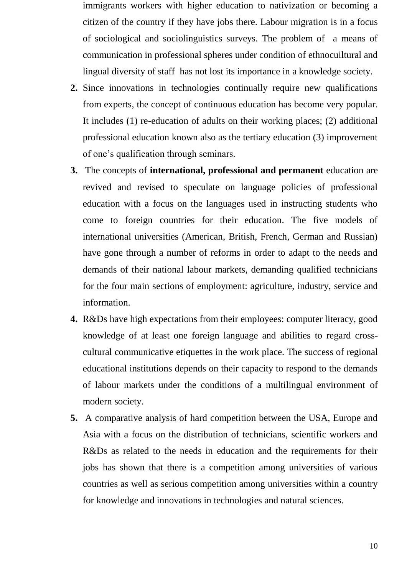- immigrants workers with higher education to nativization or becoming a citizen of the country if they have jobs there. Labour migration is in a focus of sociological and sociolinguistics surveys. The problem of a means of communication in professional spheres under condition of ethnocuiltural and lingual diversity of staff has not lost its importance in a knowledge society.
- **2.** Since innovations in technologies continually require new qualifications from experts, the concept of continuous education has become very popular. It includes (1) re-education of adults on their working places; (2) additional professional education known also as the tertiary education (3) improvement of one's qualification through seminars.
- **3.** The concepts of **international, professional and permanent** education are revived and revised to speculate on language policies of professional education with a focus on the languages used in instructing students who come to foreign countries for their education. The five models of international universities (American, British, French, German and Russian) have gone through a number of reforms in order to adapt to the needs and demands of their national labour markets, demanding qualified technicians for the four main sections of employment: agriculture, industry, service and information.
- **4.** R&Ds have high expectations from their employees: computer literacy, good knowledge of at least one foreign language and abilities to regard crosscultural communicative etiquettes in the work place. The success of regional educational institutions depends on their capacity to respond to the demands of labour markets under the conditions of a multilingual environment of modern society.
- **5.** A comparative analysis of hard competition between the USA, Europe and Asia with a focus on the distribution of technicians, scientific workers and R&Ds as related to the needs in education and the requirements for their jobs has shown that there is a competition among universities of various countries as well as serious competition among universities within a country for knowledge and innovations in technologies and natural sciences.